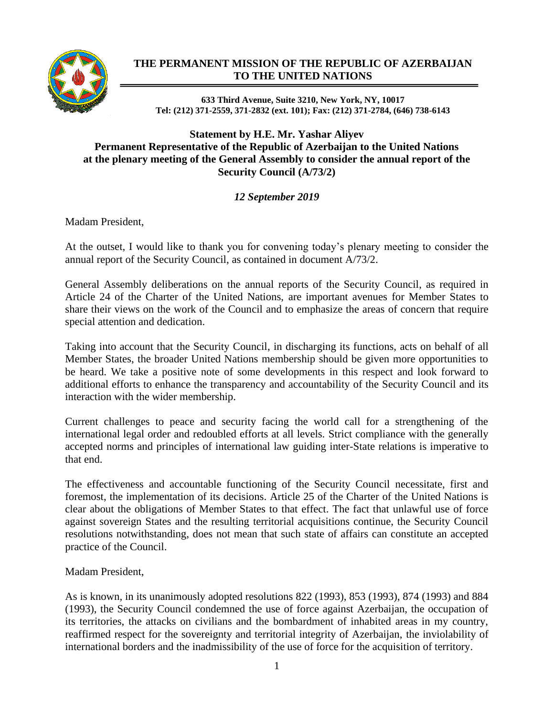

## **THE PERMANENT MISSION OF THE REPUBLIC OF AZERBAIJAN TO THE UNITED NATIONS**

**633 Third Avenue, Suite 3210, New York, NY, 10017 Tel: (212) 371-2559, 371-2832 (ext. 101); Fax: (212) 371-2784, (646) 738-6143**

## **Statement by H.E. Mr. Yashar Aliyev Permanent Representative of the Republic of Azerbaijan to the United Nations at the plenary meeting of the General Assembly to consider the annual report of the Security Council (A/73/2)**

## *12 September 2019*

Madam President,

At the outset, I would like to thank you for convening today's plenary meeting to consider the annual report of the Security Council, as contained in document A/73/2.

General Assembly deliberations on the annual reports of the Security Council, as required in Article 24 of the Charter of the United Nations, are important avenues for Member States to share their views on the work of the Council and to emphasize the areas of concern that require special attention and dedication.

Taking into account that the Security Council, in discharging its functions, acts on behalf of all Member States, the broader United Nations membership should be given more opportunities to be heard. We take a positive note of some developments in this respect and look forward to additional efforts to enhance the transparency and accountability of the Security Council and its interaction with the wider membership.

Current challenges to peace and security facing the world call for a strengthening of the international legal order and redoubled efforts at all levels. Strict compliance with the generally accepted norms and principles of international law guiding inter-State relations is imperative to that end.

The effectiveness and accountable functioning of the Security Council necessitate, first and foremost, the implementation of its decisions. Article 25 of the Charter of the United Nations is clear about the obligations of Member States to that effect. The fact that unlawful use of force against sovereign States and the resulting territorial acquisitions continue, the Security Council resolutions notwithstanding, does not mean that such state of affairs can constitute an accepted practice of the Council.

Madam President,

As is known, in its unanimously adopted resolutions 822 (1993), 853 (1993), 874 (1993) and 884 (1993), the Security Council condemned the use of force against Azerbaijan, the occupation of its territories, the attacks on civilians and the bombardment of inhabited areas in my country, reaffirmed respect for the sovereignty and territorial integrity of Azerbaijan, the inviolability of international borders and the inadmissibility of the use of force for the acquisition of territory.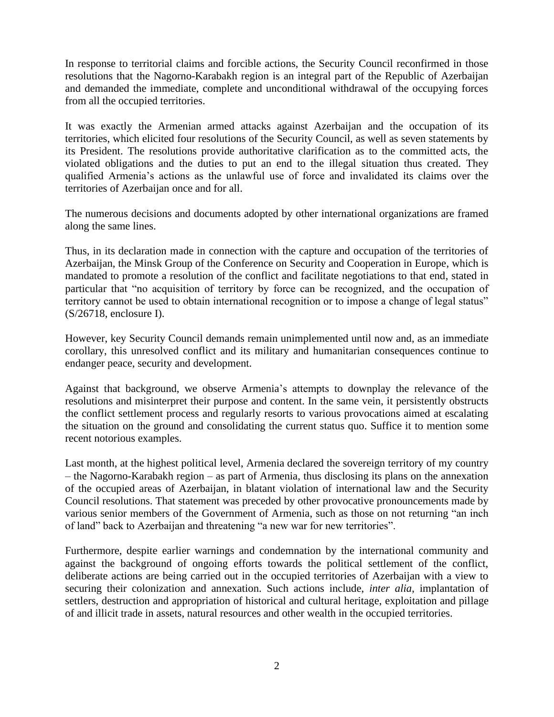In response to territorial claims and forcible actions, the Security Council reconfirmed in those resolutions that the Nagorno-Karabakh region is an integral part of the Republic of Azerbaijan and demanded the immediate, complete and unconditional withdrawal of the occupying forces from all the occupied territories.

It was exactly the Armenian armed attacks against Azerbaijan and the occupation of its territories, which elicited four resolutions of the Security Council, as well as seven statements by its President. The resolutions provide authoritative clarification as to the committed acts, the violated obligations and the duties to put an end to the illegal situation thus created. They qualified Armenia's actions as the unlawful use of force and invalidated its claims over the territories of Azerbaijan once and for all.

The numerous decisions and documents adopted by other international organizations are framed along the same lines.

Thus, in its declaration made in connection with the capture and occupation of the territories of Azerbaijan, the Minsk Group of the Conference on Security and Cooperation in Europe, which is mandated to promote a resolution of the conflict and facilitate negotiations to that end, stated in particular that "no acquisition of territory by force can be recognized, and the occupation of territory cannot be used to obtain international recognition or to impose a change of legal status" (S/26718, enclosure I).

However, key Security Council demands remain unimplemented until now and, as an immediate corollary, this unresolved conflict and its military and humanitarian consequences continue to endanger peace, security and development.

Against that background, we observe Armenia's attempts to downplay the relevance of the resolutions and misinterpret their purpose and content. In the same vein, it persistently obstructs the conflict settlement process and regularly resorts to various provocations aimed at escalating the situation on the ground and consolidating the current status quo. Suffice it to mention some recent notorious examples.

Last month, at the highest political level, Armenia declared the sovereign territory of my country – the Nagorno-Karabakh region – as part of Armenia, thus disclosing its plans on the annexation of the occupied areas of Azerbaijan, in blatant violation of international law and the Security Council resolutions. That statement was preceded by other provocative pronouncements made by various senior members of the Government of Armenia, such as those on not returning "an inch of land" back to Azerbaijan and threatening "a new war for new territories".

Furthermore, despite earlier warnings and condemnation by the international community and against the background of ongoing efforts towards the political settlement of the conflict, deliberate actions are being carried out in the occupied territories of Azerbaijan with a view to securing their colonization and annexation. Such actions include, *inter alia*, implantation of settlers, destruction and appropriation of historical and cultural heritage, exploitation and pillage of and illicit trade in assets, natural resources and other wealth in the occupied territories.